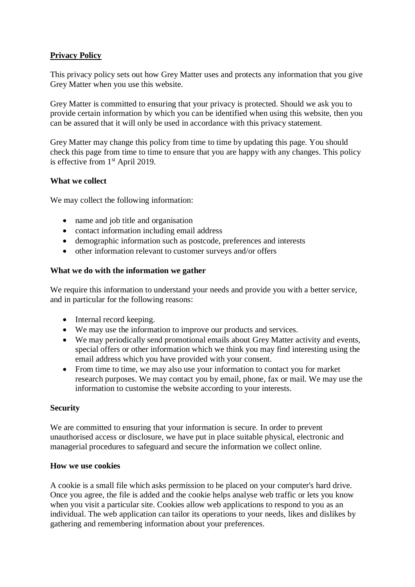# **Privacy Policy**

This privacy policy sets out how Grey Matter uses and protects any information that you give Grey Matter when you use this website.

Grey Matter is committed to ensuring that your privacy is protected. Should we ask you to provide certain information by which you can be identified when using this website, then you can be assured that it will only be used in accordance with this privacy statement.

Grey Matter may change this policy from time to time by updating this page. You should check this page from time to time to ensure that you are happy with any changes. This policy is effective from 1<sup>st</sup> April 2019.

### **What we collect**

We may collect the following information:

- name and job title and organisation
- contact information including email address
- demographic information such as postcode, preferences and interests
- other information relevant to customer surveys and/or offers

#### **What we do with the information we gather**

We require this information to understand your needs and provide you with a better service, and in particular for the following reasons:

- Internal record keeping.
- We may use the information to improve our products and services.
- We may periodically send promotional emails about Grey Matter activity and events, special offers or other information which we think you may find interesting using the email address which you have provided with your consent.
- From time to time, we may also use your information to contact you for market research purposes. We may contact you by email, phone, fax or mail. We may use the information to customise the website according to your interests.

#### **Security**

We are committed to ensuring that your information is secure. In order to prevent unauthorised access or disclosure, we have put in place suitable physical, electronic and managerial procedures to safeguard and secure the information we collect online.

#### **How we use cookies**

A cookie is a small file which asks permission to be placed on your computer's hard drive. Once you agree, the file is added and the cookie helps analyse web traffic or lets you know when you visit a particular site. Cookies allow web applications to respond to you as an individual. The web application can tailor its operations to your needs, likes and dislikes by gathering and remembering information about your preferences.